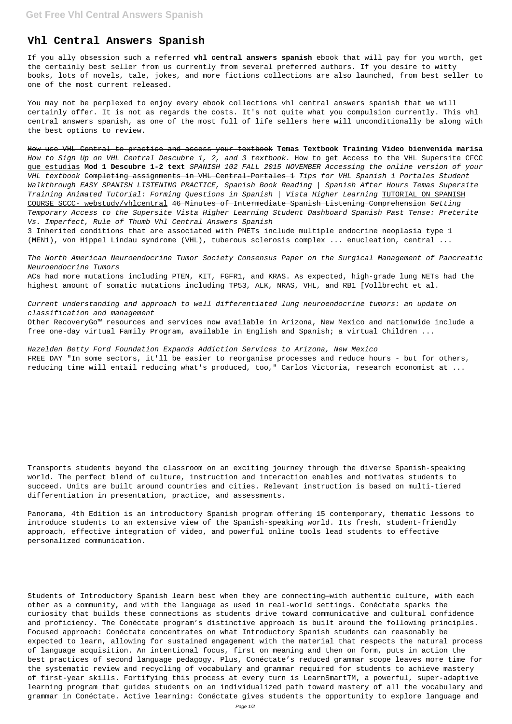## **Vhl Central Answers Spanish**

If you ally obsession such a referred **vhl central answers spanish** ebook that will pay for you worth, get the certainly best seller from us currently from several preferred authors. If you desire to witty books, lots of novels, tale, jokes, and more fictions collections are also launched, from best seller to one of the most current released.

You may not be perplexed to enjoy every ebook collections vhl central answers spanish that we will certainly offer. It is not as regards the costs. It's not quite what you compulsion currently. This vhl central answers spanish, as one of the most full of life sellers here will unconditionally be along with the best options to review.

How use VHL Central to practice and access your textbook **Temas Textbook Training Video bienvenida marisa** How to Sign Up on VHL Central Descubre 1, 2, and 3 textbook. How to get Access to the VHL Supersite CFCC que estudias **Mod 1 Descubre 1-2 text** SPANISH 102 FALL 2015 NOVEMBER Accessing the online version of your VHL textbook <del>Completing assignments in VHL Central-Portales 1</del> Tips for VHL Spanish 1 Portales Student Walkthrough EASY SPANISH LISTENING PRACTICE, Spanish Book Reading | Spanish After Hours Temas Supersite Training Animated Tutorial: Forming Questions in Spanish | Vista Higher Learning TUTORIAL ON SPANISH COURSE SCCC- webstudy/vhlcentral 46 Minutes of Intermediate Spanish Listening Comprehension Getting Temporary Access to the Supersite Vista Higher Learning Student Dashboard Spanish Past Tense: Preterite Vs. Imperfect, Rule of Thumb Vhl Central Answers Spanish

3 Inherited conditions that are associated with PNETs include multiple endocrine neoplasia type 1 (MEN1), von Hippel Lindau syndrome (VHL), tuberous sclerosis complex ... enucleation, central ...

The North American Neuroendocrine Tumor Society Consensus Paper on the Surgical Management of Pancreatic Neuroendocrine Tumors

ACs had more mutations including PTEN, KIT, FGFR1, and KRAS. As expected, high-grade lung NETs had the highest amount of somatic mutations including TP53, ALK, NRAS, VHL, and RB1 [Vollbrecht et al.

Current understanding and approach to well differentiated lung neuroendocrine tumors: an update on classification and management Other RecoveryGo™ resources and services now available in Arizona, New Mexico and nationwide include a free one-day virtual Family Program, available in English and Spanish; a virtual Children ...

Hazelden Betty Ford Foundation Expands Addiction Services to Arizona, New Mexico FREE DAY "In some sectors, it'll be easier to reorganise processes and reduce hours - but for others, reducing time will entail reducing what's produced, too," Carlos Victoria, research economist at ...

Transports students beyond the classroom on an exciting journey through the diverse Spanish-speaking world. The perfect blend of culture, instruction and interaction enables and motivates students to succeed. Units are built around countries and cities. Relevant instruction is based on multi-tiered differentiation in presentation, practice, and assessments.

Panorama, 4th Edition is an introductory Spanish program offering 15 contemporary, thematic lessons to introduce students to an extensive view of the Spanish-speaking world. Its fresh, student-friendly approach, effective integration of video, and powerful online tools lead students to effective personalized communication.

Students of Introductory Spanish learn best when they are connecting—with authentic culture, with each other as a community, and with the language as used in real-world settings. Conéctate sparks the curiosity that builds these connections as students drive toward communicative and cultural confidence and proficiency. The Conéctate program's distinctive approach is built around the following principles. Focused approach: Conéctate concentrates on what Introductory Spanish students can reasonably be expected to learn, allowing for sustained engagement with the material that respects the natural process of language acquisition. An intentional focus, first on meaning and then on form, puts in action the best practices of second language pedagogy. Plus, Conéctate's reduced grammar scope leaves more time for the systematic review and recycling of vocabulary and grammar required for students to achieve mastery of first-year skills. Fortifying this process at every turn is LearnSmartTM, a powerful, super-adaptive learning program that guides students on an individualized path toward mastery of all the vocabulary and grammar in Conéctate. Active learning: Conéctate gives students the opportunity to explore language and